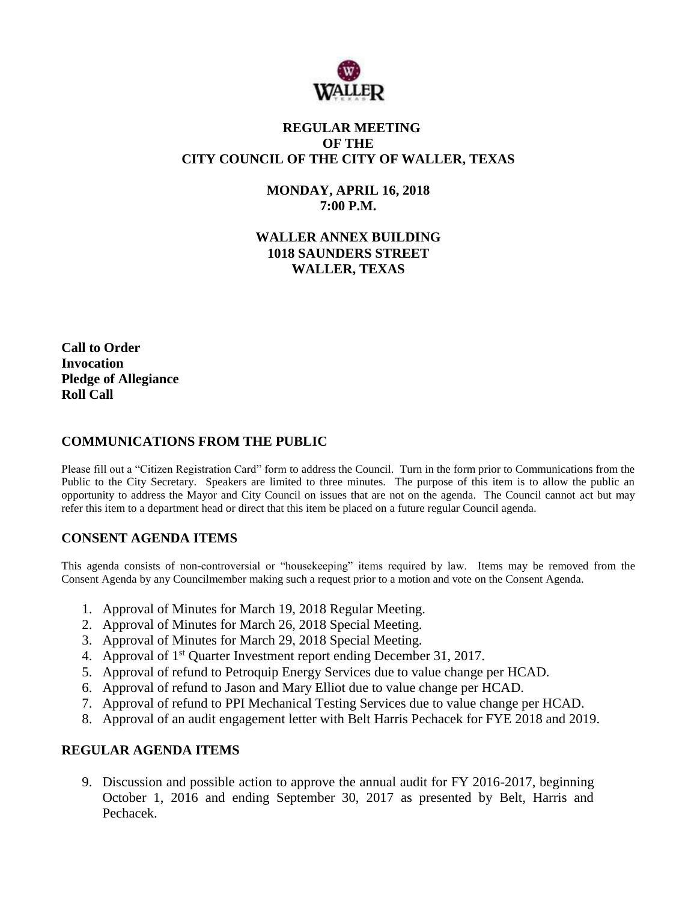

## **REGULAR MEETING OF THE CITY COUNCIL OF THE CITY OF WALLER, TEXAS**

**MONDAY, APRIL 16, 2018 7:00 P.M.**

**WALLER ANNEX BUILDING 1018 SAUNDERS STREET WALLER, TEXAS**

**Call to Order Invocation Pledge of Allegiance Roll Call**

### **COMMUNICATIONS FROM THE PUBLIC**

Please fill out a "Citizen Registration Card" form to address the Council. Turn in the form prior to Communications from the Public to the City Secretary. Speakers are limited to three minutes. The purpose of this item is to allow the public an opportunity to address the Mayor and City Council on issues that are not on the agenda. The Council cannot act but may refer this item to a department head or direct that this item be placed on a future regular Council agenda.

## **CONSENT AGENDA ITEMS**

This agenda consists of non-controversial or "housekeeping" items required by law. Items may be removed from the Consent Agenda by any Councilmember making such a request prior to a motion and vote on the Consent Agenda.

- 1. Approval of Minutes for March 19, 2018 Regular Meeting.
- 2. Approval of Minutes for March 26, 2018 Special Meeting.
- 3. Approval of Minutes for March 29, 2018 Special Meeting.
- 4. Approval of 1<sup>st</sup> Quarter Investment report ending December 31, 2017.
- 5. Approval of refund to Petroquip Energy Services due to value change per HCAD.
- 6. Approval of refund to Jason and Mary Elliot due to value change per HCAD.
- 7. Approval of refund to PPI Mechanical Testing Services due to value change per HCAD.
- 8. Approval of an audit engagement letter with Belt Harris Pechacek for FYE 2018 and 2019.

## **REGULAR AGENDA ITEMS**

9. Discussion and possible action to approve the annual audit for FY 2016-2017, beginning October 1, 2016 and ending September 30, 2017 as presented by Belt, Harris and Pechacek.